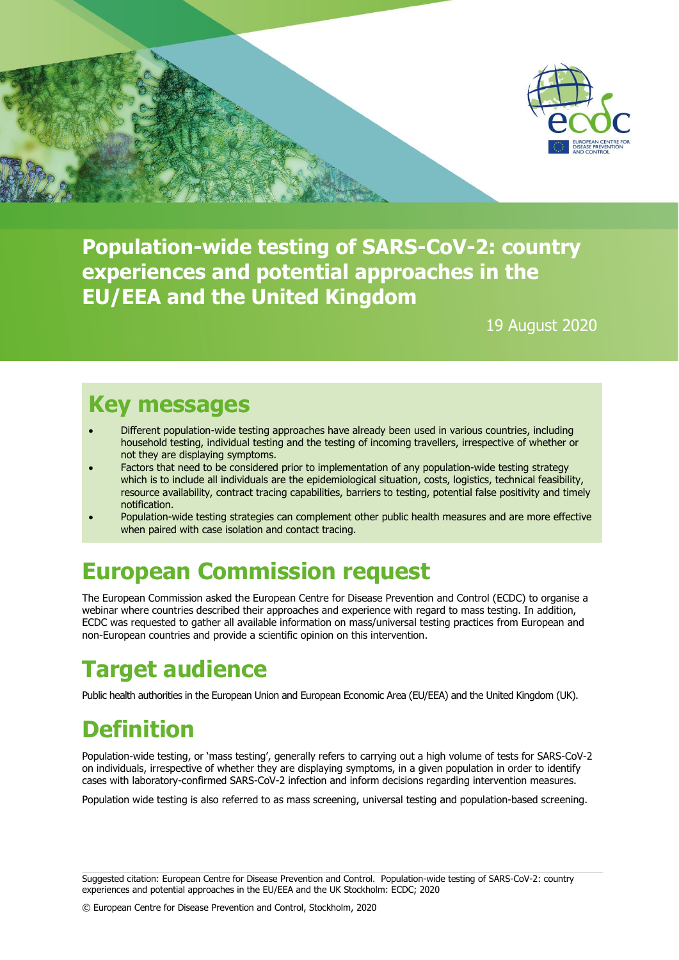

**Population-wide testing of SARS-CoV-2: country experiences and potential approaches in the EU/EEA and the United Kingdom**

19 August 2020

## **Key messages**

- Different population-wide testing approaches have already been used in various countries, including household testing, individual testing and the testing of incoming travellers, irrespective of whether or not they are displaying symptoms.
- Factors that need to be considered prior to implementation of any population-wide testing strategy which is to include all individuals are the epidemiological situation, costs, logistics, technical feasibility, resource availability, contract tracing capabilities, barriers to testing, potential false positivity and timely notification.
- Population-wide testing strategies can complement other public health measures and are more effective when paired with case isolation and contact tracing.

# **European Commission request**

The European Commission asked the European Centre for Disease Prevention and Control (ECDC) to organise a webinar where countries described their approaches and experience with regard to mass testing. In addition, ECDC was requested to gather all available information on mass/universal testing practices from European and non-European countries and provide a scientific opinion on this intervention.

## **Target audience**

Public health authorities in the European Union and European Economic Area (EU/EEA) and the United Kingdom (UK).

# **Definition**

Population-wide testing, or 'mass testing', generally refers to carrying out a high volume of tests for SARS-CoV-2 on individuals, irrespective of whether they are displaying symptoms, in a given population in order to identify cases with laboratory-confirmed SARS-CoV-2 infection and inform decisions regarding intervention measures.

Population wide testing is also referred to as mass screening, universal testing and population-based screening.

Suggested citation: European Centre for Disease Prevention and Control. Population-wide testing of SARS-CoV-2: country experiences and potential approaches in the EU/EEA and the UK Stockholm: ECDC; 2020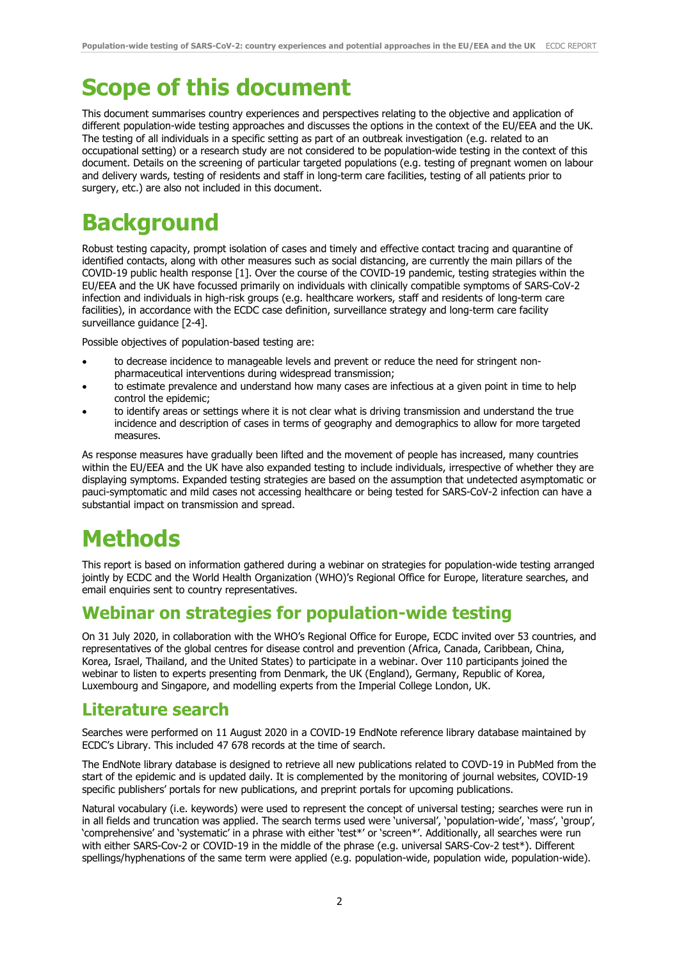# **Scope of this document**

This document summarises country experiences and perspectives relating to the objective and application of different population-wide testing approaches and discusses the options in the context of the EU/EEA and the UK. The testing of all individuals in a specific setting as part of an outbreak investigation (e.g. related to an occupational setting) or a research study are not considered to be population-wide testing in the context of this document. Details on the screening of particular targeted populations (e.g. testing of pregnant women on labour and delivery wards, testing of residents and staff in long-term care facilities, testing of all patients prior to surgery, etc.) are also not included in this document.

# **Background**

Robust testing capacity, prompt isolation of cases and timely and effective contact tracing and quarantine of identified contacts, along with other measures such as social distancing, are currently the main pillars of the COVID-19 public health response [1]. Over the course of the COVID-19 pandemic, testing strategies within the EU/EEA and the UK have focussed primarily on individuals with clinically compatible symptoms of SARS-CoV-2 infection and individuals in high-risk groups (e.g. healthcare workers, staff and residents of long-term care facilities), in accordance with the ECDC case definition, surveillance strategy and long-term care facility surveillance guidance [2-4].

Possible objectives of population-based testing are:

- to decrease incidence to manageable levels and prevent or reduce the need for stringent nonpharmaceutical interventions during widespread transmission;
- to estimate prevalence and understand how many cases are infectious at a given point in time to help control the epidemic;
- to identify areas or settings where it is not clear what is driving transmission and understand the true incidence and description of cases in terms of geography and demographics to allow for more targeted measures.

As response measures have gradually been lifted and the movement of people has increased, many countries within the EU/EEA and the UK have also expanded testing to include individuals, irrespective of whether they are displaying symptoms. Expanded testing strategies are based on the assumption that undetected asymptomatic or pauci-symptomatic and mild cases not accessing healthcare or being tested for SARS-CoV-2 infection can have a substantial impact on transmission and spread.

# **Methods**

This report is based on information gathered during a webinar on strategies for population-wide testing arranged jointly by ECDC and the World Health Organization (WHO)'s Regional Office for Europe, literature searches, and email enquiries sent to country representatives.

## **Webinar on strategies for population-wide testing**

On 31 July 2020, in collaboration with the WHO's Regional Office for Europe, ECDC invited over 53 countries, and representatives of the global centres for disease control and prevention (Africa, Canada, Caribbean, China, Korea, Israel, Thailand, and the United States) to participate in a webinar. Over 110 participants joined the webinar to listen to experts presenting from Denmark, the UK (England), Germany, Republic of Korea, Luxembourg and Singapore, and modelling experts from the Imperial College London, UK.

### **Literature search**

Searches were performed on 11 August 2020 in a COVID-19 EndNote reference library database maintained by ECDC's Library. This included 47 678 records at the time of search.

The EndNote library database is designed to retrieve all new publications related to COVD-19 in PubMed from the start of the epidemic and is updated daily. It is complemented by the monitoring of journal websites, COVID-19 specific publishers' portals for new publications, and preprint portals for upcoming publications.

Natural vocabulary (i.e. keywords) were used to represent the concept of universal testing; searches were run in in all fields and truncation was applied. The search terms used were 'universal', 'population-wide', 'mass', 'group', 'comprehensive' and 'systematic' in a phrase with either 'test\*' or 'screen\*'. Additionally, all searches were run with either SARS-Cov-2 or COVID-19 in the middle of the phrase (e.g. universal SARS-Cov-2 test\*). Different spellings/hyphenations of the same term were applied (e.g. population-wide, population wide, population-wide).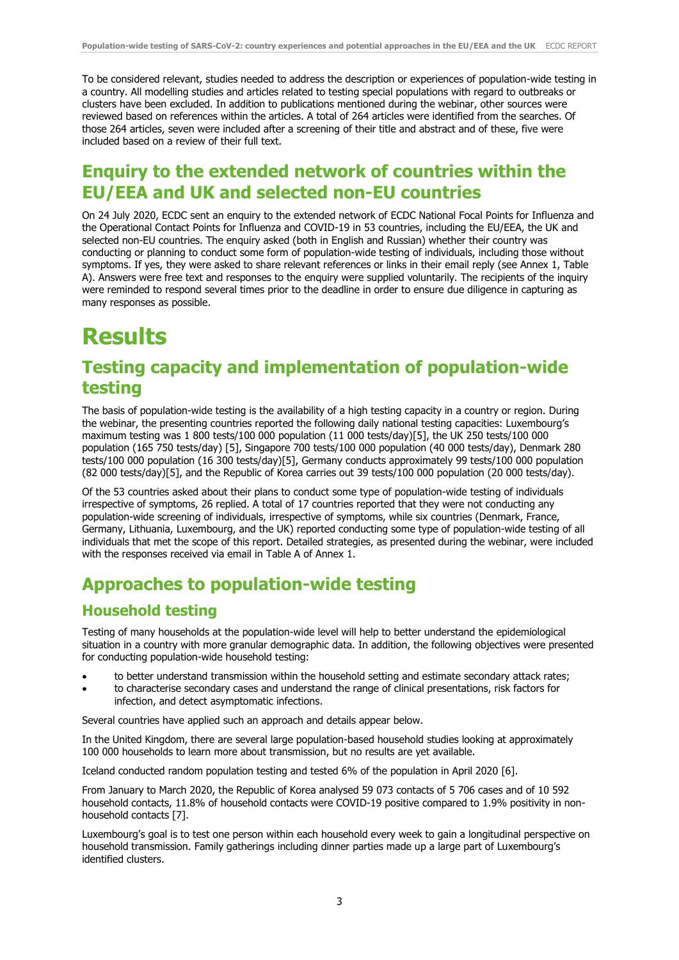To be considered relevant, studies needed to address the description or experiences of population-wide testing in a country. All modelling studies and articles related to testing special populations with regard to outbreaks or clusters have been excluded. In addition to publications mentioned during the webinar, other sources were reviewed based on references within the articles. A total of 264 articles were identified from the searches. Of those 264 articles, seven were included after a screening of their title and abstract and of these, five were included based on a review of their full text.

## **Enquiry to the extended network of countries within the EU/EEA and UK and selected non-EU countries**

On 24 July 2020, ECDC sent an enquiry to the extended network of ECDC National Focal Points for Influenza and the Operational Contact Points for Influenza and COVID-19 in 53 countries, including the EU/EEA, the UK and selected non-EU countries. The enquiry asked (both in English and Russian) whether their country was conducting or planning to conduct some form of population-wide testing of individuals, including those without symptoms. If yes, they were asked to share relevant references or links in their email reply (see Annex 1, Table A). Answers were free text and responses to the enquiry were supplied voluntarily. The recipients of the inquiry were reminded to respond several times prior to the deadline in order to ensure due diligence in capturing as many responses as possible.

## **Results**

### **Testing capacity and implementation of population-wide testing**

The basis of population-wide testing is the availability of a high testing capacity in a country or region. During the webinar, the presenting countries reported the following daily national testing capacities: Luxembourg's maximum testing was 1 800 tests/100 000 population (11 000 tests/day)[5], the UK 250 tests/100 000 population (165 750 tests/day) [5], Singapore 700 tests/100 000 population (40 000 tests/day), Denmark 280 tests/100 000 population (16 300 tests/day)[5], Germany conducts approximately 99 tests/100 000 population (82 000 tests/day)[5], and the Republic of Korea carries out 39 tests/100 000 population (20 000 tests/day).

Of the 53 countries asked about their plans to conduct some type of population-wide testing of individuals irrespective of symptoms, 26 replied. A total of 17 countries reported that they were not conducting any population-wide screening of individuals, irrespective of symptoms, while six countries (Denmark, France, Germany, Lithuania, Luxembourg, and the UK) reported conducting some type of population-wide testing of all individuals that met the scope of this report. Detailed strategies, as presented during the webinar, were included with the responses received via email in Table A of Annex 1.

## **Approaches to population-wide testing**

### **Household testing**

Testing of many households at the population-wide level will help to better understand the epidemiological situation in a country with more granular demographic data. In addition, the following objectives were presented for conducting population-wide household testing:

- to better understand transmission within the household setting and estimate secondary attack rates;
- to characterise secondary cases and understand the range of clinical presentations, risk factors for infection, and detect asymptomatic infections.

Several countries have applied such an approach and details appear below.

In the United Kingdom, there are several large population-based household studies looking at approximately 100 000 households to learn more about transmission, but no results are yet available.

Iceland conducted random population testing and tested 6% of the population in April 2020 [6].

From January to March 2020, the Republic of Korea analysed 59 073 contacts of 5 706 cases and of 10 592 household contacts, 11.8% of household contacts were COVID-19 positive compared to 1.9% positivity in nonhousehold contacts [7].

Luxembourg's goal is to test one person within each household every week to gain a longitudinal perspective on household transmission. Family gatherings including dinner parties made up a large part of Luxembourg's identified clusters.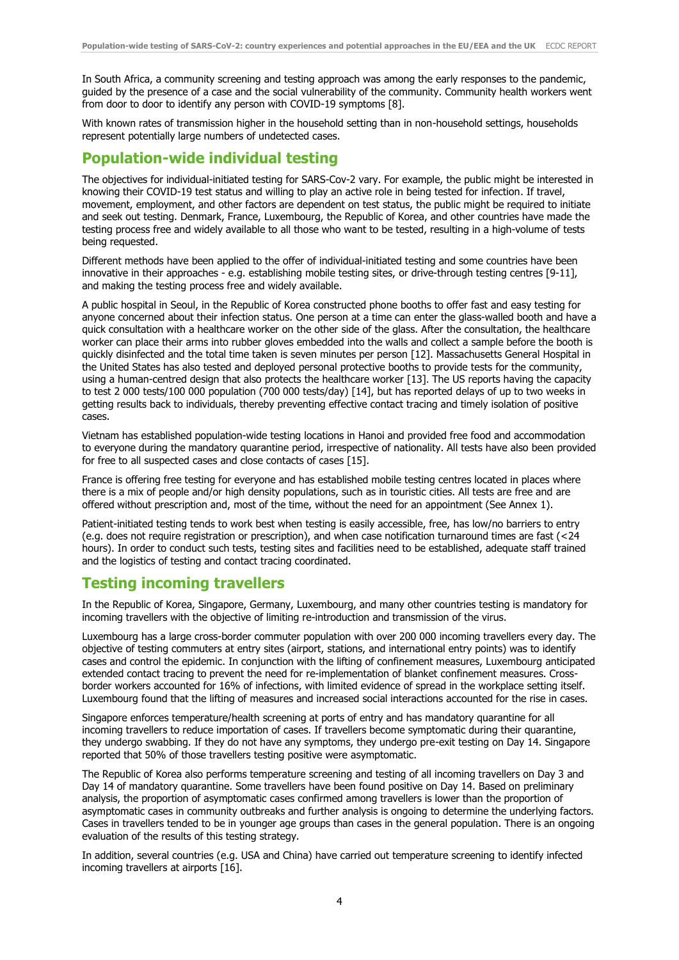In South Africa, a community screening and testing approach was among the early responses to the pandemic, guided by the presence of a case and the social vulnerability of the community. Community health workers went from door to door to identify any person with COVID-19 symptoms [8].

With known rates of transmission higher in the household setting than in non-household settings, households represent potentially large numbers of undetected cases.

#### **Population-wide individual testing**

The objectives for individual-initiated testing for SARS-Cov-2 vary. For example, the public might be interested in knowing their COVID-19 test status and willing to play an active role in being tested for infection. If travel, movement, employment, and other factors are dependent on test status, the public might be required to initiate and seek out testing. Denmark, France, Luxembourg, the Republic of Korea, and other countries have made the testing process free and widely available to all those who want to be tested, resulting in a high-volume of tests being requested.

Different methods have been applied to the offer of individual-initiated testing and some countries have been innovative in their approaches - e.g. establishing mobile testing sites, or drive-through testing centres [9-11], and making the testing process free and widely available.

A public hospital in Seoul, in the Republic of Korea constructed phone booths to offer fast and easy testing for anyone concerned about their infection status. One person at a time can enter the glass-walled booth and have a quick consultation with a healthcare worker on the other side of the glass. After the consultation, the healthcare worker can place their arms into rubber gloves embedded into the walls and collect a sample before the booth is quickly disinfected and the total time taken is seven minutes per person [12]. Massachusetts General Hospital in the United States has also tested and deployed personal protective booths to provide tests for the community, using a human-centred design that also protects the healthcare worker [13]. The US reports having the capacity to test 2 000 tests/100 000 population (700 000 tests/day) [14], but has reported delays of up to two weeks in getting results back to individuals, thereby preventing effective contact tracing and timely isolation of positive cases.

Vietnam has established population-wide testing locations in Hanoi and provided free food and accommodation to everyone during the mandatory quarantine period, irrespective of nationality. All tests have also been provided for free to all suspected cases and close contacts of cases [15].

France is offering free testing for everyone and has established mobile testing centres located in places where there is a mix of people and/or high density populations, such as in touristic cities. All tests are free and are offered without prescription and, most of the time, without the need for an appointment (See Annex 1).

Patient-initiated testing tends to work best when testing is easily accessible, free, has low/no barriers to entry (e.g. does not require registration or prescription), and when case notification turnaround times are fast (<24 hours). In order to conduct such tests, testing sites and facilities need to be established, adequate staff trained and the logistics of testing and contact tracing coordinated.

#### **Testing incoming travellers**

In the Republic of Korea, Singapore, Germany, Luxembourg, and many other countries testing is mandatory for incoming travellers with the objective of limiting re-introduction and transmission of the virus.

Luxembourg has a large cross-border commuter population with over 200 000 incoming travellers every day. The objective of testing commuters at entry sites (airport, stations, and international entry points) was to identify cases and control the epidemic. In conjunction with the lifting of confinement measures, Luxembourg anticipated extended contact tracing to prevent the need for re-implementation of blanket confinement measures. Crossborder workers accounted for 16% of infections, with limited evidence of spread in the workplace setting itself. Luxembourg found that the lifting of measures and increased social interactions accounted for the rise in cases.

Singapore enforces temperature/health screening at ports of entry and has mandatory quarantine for all incoming travellers to reduce importation of cases. If travellers become symptomatic during their quarantine, they undergo swabbing. If they do not have any symptoms, they undergo pre-exit testing on Day 14. Singapore reported that 50% of those travellers testing positive were asymptomatic.

The Republic of Korea also performs temperature screening and testing of all incoming travellers on Day 3 and Day 14 of mandatory quarantine. Some travellers have been found positive on Day 14. Based on preliminary analysis, the proportion of asymptomatic cases confirmed among travellers is lower than the proportion of asymptomatic cases in community outbreaks and further analysis is ongoing to determine the underlying factors. Cases in travellers tended to be in younger age groups than cases in the general population. There is an ongoing evaluation of the results of this testing strategy.

In addition, several countries (e.g. USA and China) have carried out temperature screening to identify infected incoming travellers at airports [16].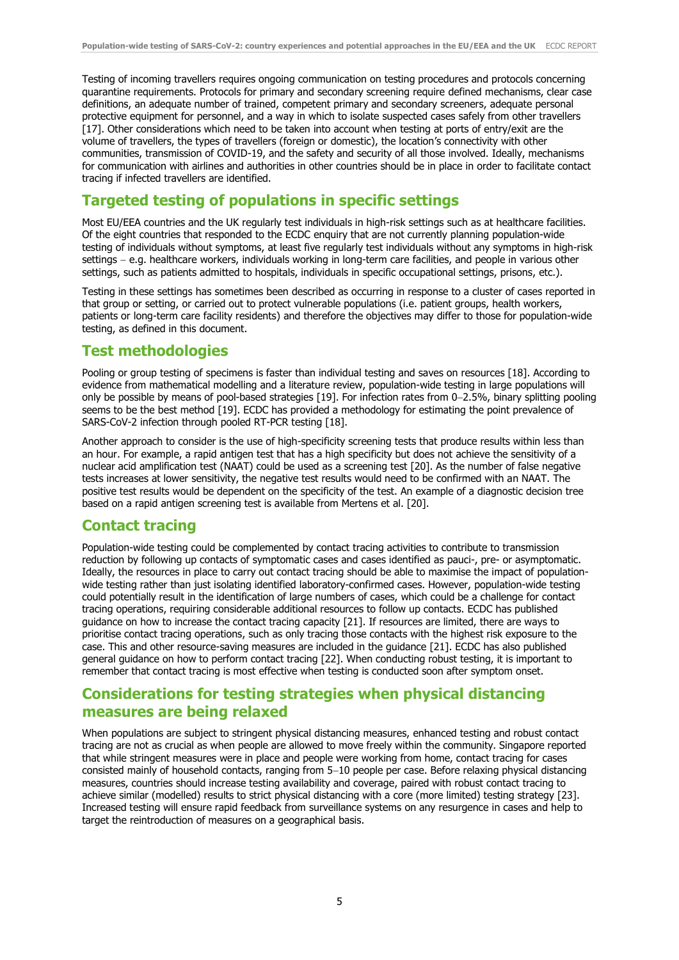Testing of incoming travellers requires ongoing communication on testing procedures and protocols concerning quarantine requirements. Protocols for primary and secondary screening require defined mechanisms, clear case definitions, an adequate number of trained, competent primary and secondary screeners, adequate personal protective equipment for personnel, and a way in which to isolate suspected cases safely from other travellers [17]. Other considerations which need to be taken into account when testing at ports of entry/exit are the volume of travellers, the types of travellers (foreign or domestic), the location's connectivity with other communities, transmission of COVID-19, and the safety and security of all those involved. Ideally, mechanisms for communication with airlines and authorities in other countries should be in place in order to facilitate contact tracing if infected travellers are identified.

### **Targeted testing of populations in specific settings**

Most EU/EEA countries and the UK regularly test individuals in high-risk settings such as at healthcare facilities. Of the eight countries that responded to the ECDC enquiry that are not currently planning population-wide testing of individuals without symptoms, at least five regularly test individuals without any symptoms in high-risk settings - e.g. healthcare workers, individuals working in long-term care facilities, and people in various other settings, such as patients admitted to hospitals, individuals in specific occupational settings, prisons, etc.).

Testing in these settings has sometimes been described as occurring in response to a cluster of cases reported in that group or setting, or carried out to protect vulnerable populations (i.e. patient groups, health workers, patients or long-term care facility residents) and therefore the objectives may differ to those for population-wide testing, as defined in this document.

### **Test methodologies**

Pooling or group testing of specimens is faster than individual testing and saves on resources [18]. According to evidence from mathematical modelling and a literature review, population-wide testing in large populations will only be possible by means of pool-based strategies [19]. For infection rates from 0-2.5%, binary splitting pooling seems to be the best method [19]. ECDC has provided a methodology for estimating the point prevalence of SARS-CoV-2 infection through pooled RT-PCR testing [18].

Another approach to consider is the use of high-specificity screening tests that produce results within less than an hour. For example, a rapid antigen test that has a high specificity but does not achieve the sensitivity of a nuclear acid amplification test (NAAT) could be used as a screening test [20]. As the number of false negative tests increases at lower sensitivity, the negative test results would need to be confirmed with an NAAT. The positive test results would be dependent on the specificity of the test. An example of a diagnostic decision tree based on a rapid antigen screening test is available from Mertens et al. [20].

### **Contact tracing**

Population-wide testing could be complemented by contact tracing activities to contribute to transmission reduction by following up contacts of symptomatic cases and cases identified as pauci-, pre- or asymptomatic. Ideally, the resources in place to carry out contact tracing should be able to maximise the impact of populationwide testing rather than just isolating identified laboratory-confirmed cases. However, population-wide testing could potentially result in the identification of large numbers of cases, which could be a challenge for contact tracing operations, requiring considerable additional resources to follow up contacts. ECDC has published guidance on how to increase the contact tracing capacity [21]. If resources are limited, there are ways to prioritise contact tracing operations, such as only tracing those contacts with the highest risk exposure to the case. This and other resource-saving measures are included in the guidance [21]. ECDC has also published general guidance on how to perform contact tracing [22]. When conducting robust testing, it is important to remember that contact tracing is most effective when testing is conducted soon after symptom onset.

### **Considerations for testing strategies when physical distancing measures are being relaxed**

When populations are subject to stringent physical distancing measures, enhanced testing and robust contact tracing are not as crucial as when people are allowed to move freely within the community. Singapore reported that while stringent measures were in place and people were working from home, contact tracing for cases consisted mainly of household contacts, ranging from 5-10 people per case. Before relaxing physical distancing measures, countries should increase testing availability and coverage, paired with robust contact tracing to achieve similar (modelled) results to strict physical distancing with a core (more limited) testing strategy [23]. Increased testing will ensure rapid feedback from surveillance systems on any resurgence in cases and help to target the reintroduction of measures on a geographical basis.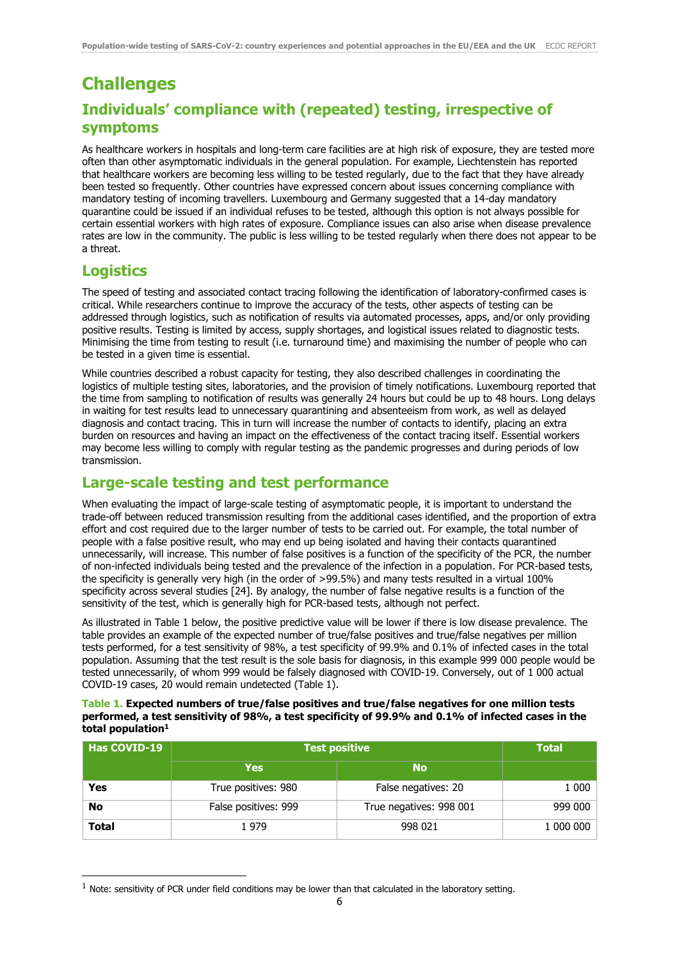## **Challenges Individuals' compliance with (repeated) testing, irrespective of symptoms**

As healthcare workers in hospitals and long-term care facilities are at high risk of exposure, they are tested more often than other asymptomatic individuals in the general population. For example, Liechtenstein has reported that healthcare workers are becoming less willing to be tested regularly, due to the fact that they have already been tested so frequently. Other countries have expressed concern about issues concerning compliance with mandatory testing of incoming travellers. Luxembourg and Germany suggested that a 14-day mandatory quarantine could be issued if an individual refuses to be tested, although this option is not always possible for certain essential workers with high rates of exposure. Compliance issues can also arise when disease prevalence rates are low in the community. The public is less willing to be tested regularly when there does not appear to be a threat.

### **Logistics**

-

The speed of testing and associated contact tracing following the identification of laboratory-confirmed cases is critical. While researchers continue to improve the accuracy of the tests, other aspects of testing can be addressed through logistics, such as notification of results via automated processes, apps, and/or only providing positive results. Testing is limited by access, supply shortages, and logistical issues related to diagnostic tests. Minimising the time from testing to result (i.e. turnaround time) and maximising the number of people who can be tested in a given time is essential.

While countries described a robust capacity for testing, they also described challenges in coordinating the logistics of multiple testing sites, laboratories, and the provision of timely notifications. Luxembourg reported that the time from sampling to notification of results was generally 24 hours but could be up to 48 hours. Long delays in waiting for test results lead to unnecessary quarantining and absenteeism from work, as well as delayed diagnosis and contact tracing. This in turn will increase the number of contacts to identify, placing an extra burden on resources and having an impact on the effectiveness of the contact tracing itself. Essential workers may become less willing to comply with regular testing as the pandemic progresses and during periods of low transmission.

#### **Large-scale testing and test performance**

When evaluating the impact of large-scale testing of asymptomatic people, it is important to understand the trade-off between reduced transmission resulting from the additional cases identified, and the proportion of extra effort and cost required due to the larger number of tests to be carried out. For example, the total number of people with a false positive result, who may end up being isolated and having their contacts quarantined unnecessarily, will increase. This number of false positives is a function of the specificity of the PCR, the number of non-infected individuals being tested and the prevalence of the infection in a population. For PCR-based tests, the specificity is generally very high (in the order of >99.5%) and many tests resulted in a virtual 100% specificity across several studies [24]. By analogy, the number of false negative results is a function of the sensitivity of the test, which is generally high for PCR-based tests, although not perfect.

As illustrated in Table 1 below, the positive predictive value will be lower if there is low disease prevalence. The table provides an example of the expected number of true/false positives and true/false negatives per million tests performed, for a test sensitivity of 98%, a test specificity of 99.9% and 0.1% of infected cases in the total population. Assuming that the test result is the sole basis for diagnosis, in this example 999 000 people would be tested unnecessarily, of whom 999 would be falsely diagnosed with COVID-19. Conversely, out of 1 000 actual COVID-19 cases, 20 would remain undetected (Table 1).

#### **Table 1. Expected numbers of true/false positives and true/false negatives for one million tests performed, a test sensitivity of 98%, a test specificity of 99.9% and 0.1% of infected cases in the total population<sup>1</sup>**

| <b>Has COVID-19</b> | <b>Test positive</b> | <b>Total</b>            |           |
|---------------------|----------------------|-------------------------|-----------|
|                     | <b>Yes</b>           | <b>No</b>               |           |
| Yes                 | True positives: 980  | False negatives: 20     | 1 000     |
| No                  | False positives: 999 | True negatives: 998 001 | 999 000   |
| <b>Total</b>        | 1979                 | 998 021                 | 1 000 000 |

 $<sup>1</sup>$  Note: sensitivity of PCR under field conditions may be lower than that calculated in the laboratory setting.</sup>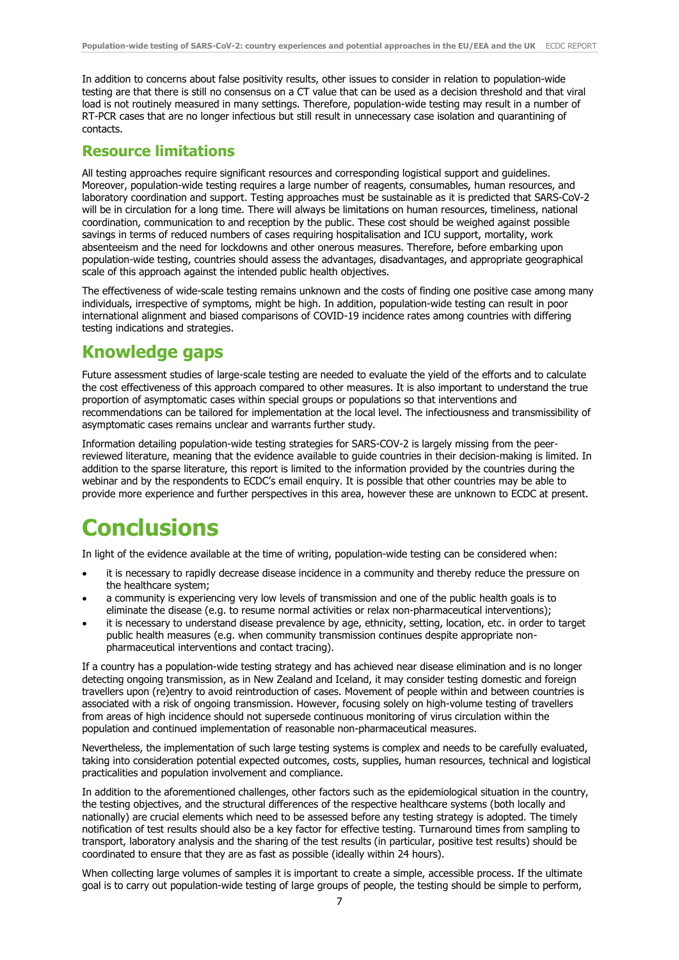In addition to concerns about false positivity results, other issues to consider in relation to population-wide testing are that there is still no consensus on a CT value that can be used as a decision threshold and that viral load is not routinely measured in many settings. Therefore, population-wide testing may result in a number of RT-PCR cases that are no longer infectious but still result in unnecessary case isolation and quarantining of contacts.

#### **Resource limitations**

All testing approaches require significant resources and corresponding logistical support and guidelines. Moreover, population-wide testing requires a large number of reagents, consumables, human resources, and laboratory coordination and support. Testing approaches must be sustainable as it is predicted that SARS-CoV-2 will be in circulation for a long time. There will always be limitations on human resources, timeliness, national coordination, communication to and reception by the public. These cost should be weighed against possible savings in terms of reduced numbers of cases requiring hospitalisation and ICU support, mortality, work absenteeism and the need for lockdowns and other onerous measures. Therefore, before embarking upon population-wide testing, countries should assess the advantages, disadvantages, and appropriate geographical scale of this approach against the intended public health objectives.

The effectiveness of wide-scale testing remains unknown and the costs of finding one positive case among many individuals, irrespective of symptoms, might be high. In addition, population-wide testing can result in poor international alignment and biased comparisons of COVID-19 incidence rates among countries with differing testing indications and strategies.

### **Knowledge gaps**

Future assessment studies of large-scale testing are needed to evaluate the yield of the efforts and to calculate the cost effectiveness of this approach compared to other measures. It is also important to understand the true proportion of asymptomatic cases within special groups or populations so that interventions and recommendations can be tailored for implementation at the local level. The infectiousness and transmissibility of asymptomatic cases remains unclear and warrants further study.

Information detailing population-wide testing strategies for SARS-COV-2 is largely missing from the peerreviewed literature, meaning that the evidence available to guide countries in their decision-making is limited. In addition to the sparse literature, this report is limited to the information provided by the countries during the webinar and by the respondents to ECDC's email enquiry. It is possible that other countries may be able to provide more experience and further perspectives in this area, however these are unknown to ECDC at present.

## **Conclusions**

In light of the evidence available at the time of writing, population-wide testing can be considered when:

- it is necessary to rapidly decrease disease incidence in a community and thereby reduce the pressure on the healthcare system;
- a community is experiencing very low levels of transmission and one of the public health goals is to eliminate the disease (e.g. to resume normal activities or relax non-pharmaceutical interventions);
- it is necessary to understand disease prevalence by age, ethnicity, setting, location, etc. in order to target public health measures (e.g. when community transmission continues despite appropriate nonpharmaceutical interventions and contact tracing).

If a country has a population-wide testing strategy and has achieved near disease elimination and is no longer detecting ongoing transmission, as in New Zealand and Iceland, it may consider testing domestic and foreign travellers upon (re)entry to avoid reintroduction of cases. Movement of people within and between countries is associated with a risk of ongoing transmission. However, focusing solely on high-volume testing of travellers from areas of high incidence should not supersede continuous monitoring of virus circulation within the population and continued implementation of reasonable non-pharmaceutical measures.

Nevertheless, the implementation of such large testing systems is complex and needs to be carefully evaluated, taking into consideration potential expected outcomes, costs, supplies, human resources, technical and logistical practicalities and population involvement and compliance.

In addition to the aforementioned challenges, other factors such as the epidemiological situation in the country, the testing objectives, and the structural differences of the respective healthcare systems (both locally and nationally) are crucial elements which need to be assessed before any testing strategy is adopted. The timely notification of test results should also be a key factor for effective testing. Turnaround times from sampling to transport, laboratory analysis and the sharing of the test results (in particular, positive test results) should be coordinated to ensure that they are as fast as possible (ideally within 24 hours).

When collecting large volumes of samples it is important to create a simple, accessible process. If the ultimate goal is to carry out population-wide testing of large groups of people, the testing should be simple to perform,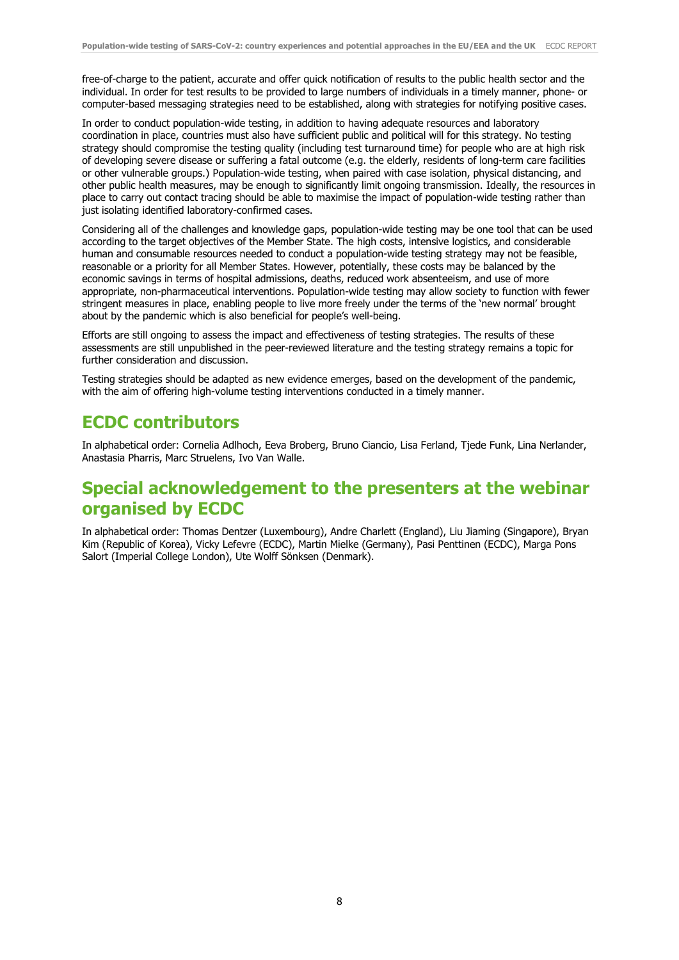free-of-charge to the patient, accurate and offer quick notification of results to the public health sector and the individual. In order for test results to be provided to large numbers of individuals in a timely manner, phone- or computer-based messaging strategies need to be established, along with strategies for notifying positive cases.

In order to conduct population-wide testing, in addition to having adequate resources and laboratory coordination in place, countries must also have sufficient public and political will for this strategy. No testing strategy should compromise the testing quality (including test turnaround time) for people who are at high risk of developing severe disease or suffering a fatal outcome (e.g. the elderly, residents of long-term care facilities or other vulnerable groups.) Population-wide testing, when paired with case isolation, physical distancing, and other public health measures, may be enough to significantly limit ongoing transmission. Ideally, the resources in place to carry out contact tracing should be able to maximise the impact of population-wide testing rather than just isolating identified laboratory-confirmed cases.

Considering all of the challenges and knowledge gaps, population-wide testing may be one tool that can be used according to the target objectives of the Member State. The high costs, intensive logistics, and considerable human and consumable resources needed to conduct a population-wide testing strategy may not be feasible, reasonable or a priority for all Member States. However, potentially, these costs may be balanced by the economic savings in terms of hospital admissions, deaths, reduced work absenteeism, and use of more appropriate, non-pharmaceutical interventions. Population-wide testing may allow society to function with fewer stringent measures in place, enabling people to live more freely under the terms of the 'new normal' brought about by the pandemic which is also beneficial for people's well-being.

Efforts are still ongoing to assess the impact and effectiveness of testing strategies. The results of these assessments are still unpublished in the peer-reviewed literature and the testing strategy remains a topic for further consideration and discussion.

Testing strategies should be adapted as new evidence emerges, based on the development of the pandemic, with the aim of offering high-volume testing interventions conducted in a timely manner.

### **ECDC contributors**

In alphabetical order: Cornelia Adlhoch, Eeva Broberg, Bruno Ciancio, Lisa Ferland, Tjede Funk, Lina Nerlander, Anastasia Pharris, Marc Struelens, Ivo Van Walle.

## **Special acknowledgement to the presenters at the webinar organised by ECDC**

In alphabetical order: Thomas Dentzer (Luxembourg), Andre Charlett (England), Liu Jiaming (Singapore), Bryan Kim (Republic of Korea), Vicky Lefevre (ECDC), Martin Mielke (Germany), Pasi Penttinen (ECDC), Marga Pons Salort (Imperial College London), Ute Wolff Sönksen (Denmark).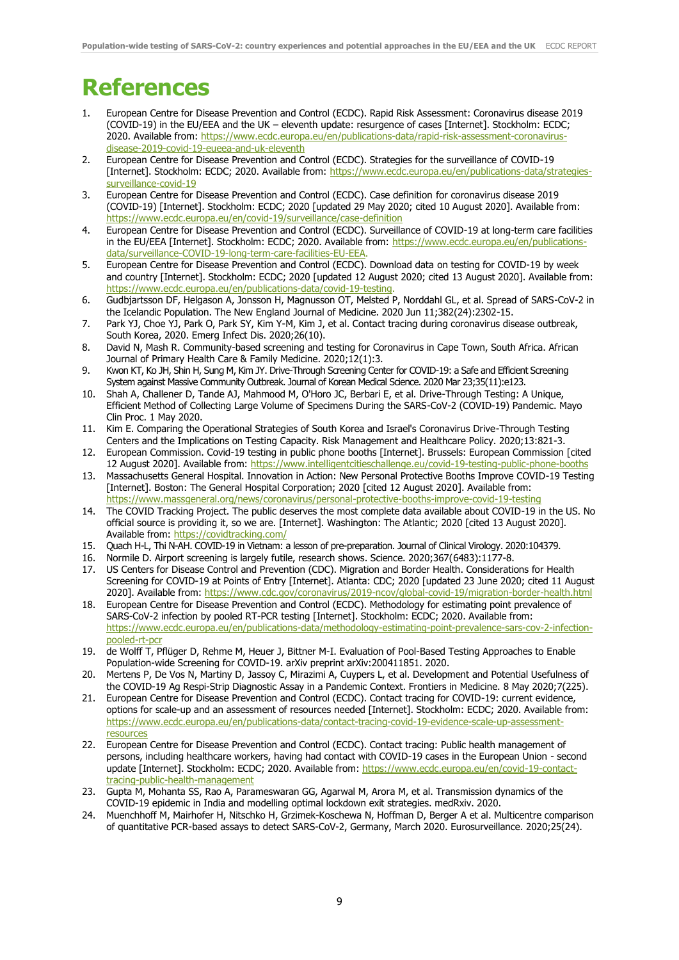## **References**

- 1. European Centre for Disease Prevention and Control (ECDC). Rapid Risk Assessment: Coronavirus disease 2019 (COVID-19) in the EU/EEA and the UK – eleventh update: resurgence of cases [Internet]. Stockholm: ECDC; 2020. Available from: [https://www.ecdc.europa.eu/en/publications-data/rapid-risk-assessment-coronavirus](https://www.ecdc.europa.eu/en/publications-data/rapid-risk-assessment-coronavirus-disease-2019-covid-19-eueea-and-uk-eleventh)[disease-2019-covid-19-eueea-and-uk-eleventh](https://www.ecdc.europa.eu/en/publications-data/rapid-risk-assessment-coronavirus-disease-2019-covid-19-eueea-and-uk-eleventh)
- 2. European Centre for Disease Prevention and Control (ECDC). Strategies for the surveillance of COVID-19 [Internet]. Stockholm: ECDC; 2020. Available from: [https://www.ecdc.europa.eu/en/publications-data/strategies](https://www.ecdc.europa.eu/en/publications-data/strategies-surveillance-covid-19)[surveillance-covid-19](https://www.ecdc.europa.eu/en/publications-data/strategies-surveillance-covid-19)
- 3. European Centre for Disease Prevention and Control (ECDC). Case definition for coronavirus disease 2019 (COVID-19) [Internet]. Stockholm: ECDC; 2020 [updated 29 May 2020; cited 10 August 2020]. Available from: <https://www.ecdc.europa.eu/en/covid-19/surveillance/case-definition>
- 4. European Centre for Disease Prevention and Control (ECDC). Surveillance of COVID-19 at long-term care facilities in the EU/EEA [Internet]. Stockholm: ECDC; 2020. Available from: [https://www.ecdc.europa.eu/en/publications](https://www.ecdc.europa.eu/en/publications-data/surveillance-COVID-19-long-term-care-facilities-EU-EEA)[data/surveillance-COVID-19-long-term-care-facilities-EU-EEA.](https://www.ecdc.europa.eu/en/publications-data/surveillance-COVID-19-long-term-care-facilities-EU-EEA)
- 5. European Centre for Disease Prevention and Control (ECDC). Download data on testing for COVID-19 by week and country [Internet]. Stockholm: ECDC; 2020 [updated 12 August 2020; cited 13 August 2020]. Available from: [https://www.ecdc.europa.eu/en/publications-data/covid-19-testing.](https://www.ecdc.europa.eu/en/publications-data/covid-19-testing)
- 6. Gudbjartsson DF, Helgason A, Jonsson H, Magnusson OT, Melsted P, Norddahl GL, et al. Spread of SARS-CoV-2 in the Icelandic Population. The New England Journal of Medicine. 2020 Jun 11;382(24):2302-15.
- 7. Park YJ, Choe YJ, Park O, Park SY, Kim Y-M, Kim J, et al. Contact tracing during coronavirus disease outbreak, South Korea, 2020. Emerg Infect Dis. 2020;26(10).
- 8. David N, Mash R. Community-based screening and testing for Coronavirus in Cape Town, South Africa. African Journal of Primary Health Care & Family Medicine. 2020;12(1):3.
- 9. Kwon KT, Ko JH, Shin H, Sung M, Kim JY. Drive-Through Screening Center for COVID-19: a Safe and Efficient Screening System against Massive Community Outbreak. Journal of Korean Medical Science. 2020 Mar 23;35(11):e123.
- 10. Shah A, Challener D, Tande AJ, Mahmood M, O'Horo JC, Berbari E, et al. Drive-Through Testing: A Unique, Efficient Method of Collecting Large Volume of Specimens During the SARS-CoV-2 (COVID-19) Pandemic. Mayo Clin Proc. 1 May 2020.
- 11. Kim E. Comparing the Operational Strategies of South Korea and Israel's Coronavirus Drive-Through Testing Centers and the Implications on Testing Capacity. Risk Management and Healthcare Policy. 2020;13:821-3.
- 12. European Commission. Covid-19 testing in public phone booths [Internet]. Brussels: European Commission [cited 12 August 2020]. Available from:<https://www.intelligentcitieschallenge.eu/covid-19-testing-public-phone-booths>
- 13. Massachusetts General Hospital. Innovation in Action: New Personal Protective Booths Improve COVID-19 Testing [Internet]. Boston: The General Hospital Corporation; 2020 [cited 12 August 2020]. Available from: <https://www.massgeneral.org/news/coronavirus/personal-protective-booths-improve-covid-19-testing>
- 14. The COVID Tracking Project. The public deserves the most complete data available about COVID-19 in the US. No official source is providing it, so we are. [Internet]. Washington: The Atlantic; 2020 [cited 13 August 2020]. Available from:<https://covidtracking.com/>
- 15. Quach H-L, Thi N-AH. COVID-19 in Vietnam: a lesson of pre-preparation. Journal of Clinical Virology. 2020:104379.
- 16. Normile D. Airport screening is largely futile, research shows. Science. 2020;367(6483):1177-8.
- 17. US Centers for Disease Control and Prevention (CDC). Migration and Border Health. Considerations for Health Screening for COVID-19 at Points of Entry [Internet]. Atlanta: CDC; 2020 [updated 23 June 2020; cited 11 August 2020]. Available from[: https://www.cdc.gov/coronavirus/2019-ncov/global-covid-19/migration-border-health.html](https://www.cdc.gov/coronavirus/2019-ncov/global-covid-19/migration-border-health.html)
- 18. European Centre for Disease Prevention and Control (ECDC). Methodology for estimating point prevalence of SARS-CoV-2 infection by pooled RT-PCR testing [Internet]. Stockholm: ECDC; 2020. Available from: [https://www.ecdc.europa.eu/en/publications-data/methodology-estimating-point-prevalence-sars-cov-2-infection](https://www.ecdc.europa.eu/en/publications-data/methodology-estimating-point-prevalence-sars-cov-2-infection-pooled-rt-pcr)[pooled-rt-pcr](https://www.ecdc.europa.eu/en/publications-data/methodology-estimating-point-prevalence-sars-cov-2-infection-pooled-rt-pcr)
- 19. de Wolff T, Pflüger D, Rehme M, Heuer J, Bittner M-I. Evaluation of Pool-Based Testing Approaches to Enable Population-wide Screening for COVID-19. arXiv preprint arXiv:200411851. 2020.
- 20. Mertens P, De Vos N, Martiny D, Jassoy C, Mirazimi A, Cuypers L, et al. Development and Potential Usefulness of the COVID-19 Ag Respi-Strip Diagnostic Assay in a Pandemic Context. Frontiers in Medicine. 8 May 2020;7(225).
- 21. European Centre for Disease Prevention and Control (ECDC). Contact tracing for COVID-19: current evidence, options for scale-up and an assessment of resources needed [Internet]. Stockholm: ECDC; 2020. Available from: [https://www.ecdc.europa.eu/en/publications-data/contact-tracing-covid-19-evidence-scale-up-assessment](https://www.ecdc.europa.eu/en/publications-data/contact-tracing-covid-19-evidence-scale-up-assessment-resources)[resources](https://www.ecdc.europa.eu/en/publications-data/contact-tracing-covid-19-evidence-scale-up-assessment-resources)
- 22. European Centre for Disease Prevention and Control (ECDC). Contact tracing: Public health management of persons, including healthcare workers, having had contact with COVID-19 cases in the European Union - second update [Internet]. Stockholm: ECDC; 2020. Available from[: https://www.ecdc.europa.eu/en/covid-19-contact](https://www.ecdc.europa.eu/en/covid-19-contact-tracing-public-health-management)[tracing-public-health-management](https://www.ecdc.europa.eu/en/covid-19-contact-tracing-public-health-management)
- 23. Gupta M, Mohanta SS, Rao A, Parameswaran GG, Agarwal M, Arora M, et al. Transmission dynamics of the COVID-19 epidemic in India and modelling optimal lockdown exit strategies. medRxiv. 2020.
- 24. Muenchhoff M, Mairhofer H, Nitschko H, Grzimek-Koschewa N, Hoffman D, Berger A et al. Multicentre comparison of quantitative PCR-based assays to detect SARS-CoV-2, Germany, March 2020. Eurosurveillance. 2020;25(24).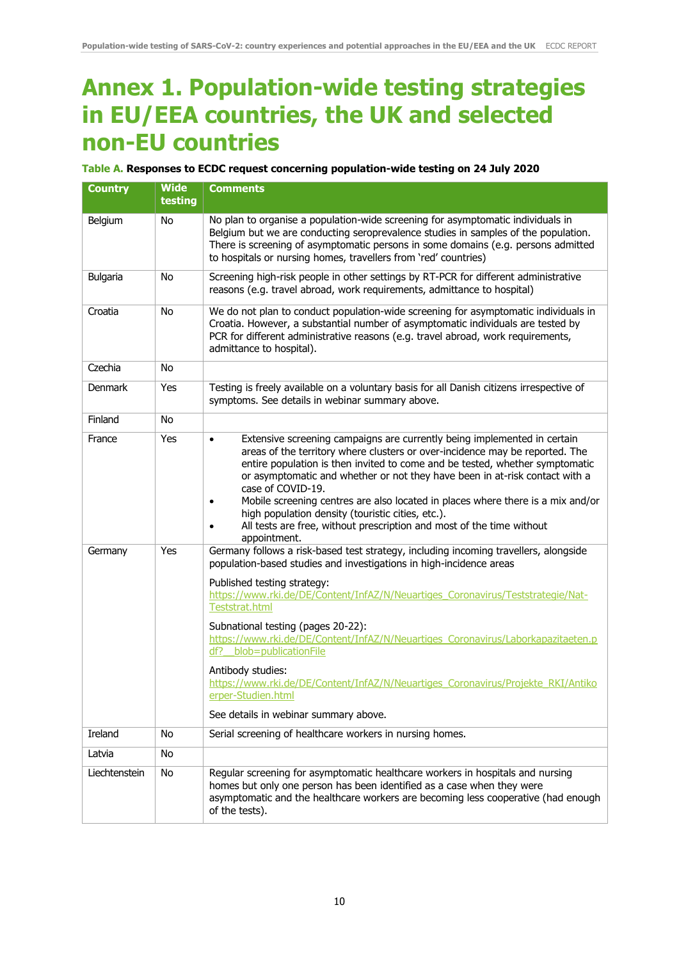## **Annex 1. Population-wide testing strategies in EU/EEA countries, the UK and selected non-EU countries**

#### **Table A. Responses to ECDC request concerning population-wide testing on 24 July 2020**

| <b>Country</b>  | <b>Wide</b><br>testing | <b>Comments</b>                                                                                                                                                                                                                                                                                                                                                                                                                                                                                                                                                                                                               |
|-----------------|------------------------|-------------------------------------------------------------------------------------------------------------------------------------------------------------------------------------------------------------------------------------------------------------------------------------------------------------------------------------------------------------------------------------------------------------------------------------------------------------------------------------------------------------------------------------------------------------------------------------------------------------------------------|
| Belgium         | No                     | No plan to organise a population-wide screening for asymptomatic individuals in<br>Belgium but we are conducting seroprevalence studies in samples of the population.<br>There is screening of asymptomatic persons in some domains (e.g. persons admitted<br>to hospitals or nursing homes, travellers from 'red' countries)                                                                                                                                                                                                                                                                                                 |
| <b>Bulgaria</b> | <b>No</b>              | Screening high-risk people in other settings by RT-PCR for different administrative<br>reasons (e.g. travel abroad, work requirements, admittance to hospital)                                                                                                                                                                                                                                                                                                                                                                                                                                                                |
| Croatia         | <b>No</b>              | We do not plan to conduct population-wide screening for asymptomatic individuals in<br>Croatia. However, a substantial number of asymptomatic individuals are tested by<br>PCR for different administrative reasons (e.g. travel abroad, work requirements,<br>admittance to hospital).                                                                                                                                                                                                                                                                                                                                       |
| Czechia         | <b>No</b>              |                                                                                                                                                                                                                                                                                                                                                                                                                                                                                                                                                                                                                               |
| <b>Denmark</b>  | Yes                    | Testing is freely available on a voluntary basis for all Danish citizens irrespective of<br>symptoms. See details in webinar summary above.                                                                                                                                                                                                                                                                                                                                                                                                                                                                                   |
| Finland         | No                     |                                                                                                                                                                                                                                                                                                                                                                                                                                                                                                                                                                                                                               |
| France          | Yes                    | Extensive screening campaigns are currently being implemented in certain<br>$\bullet$<br>areas of the territory where clusters or over-incidence may be reported. The<br>entire population is then invited to come and be tested, whether symptomatic<br>or asymptomatic and whether or not they have been in at-risk contact with a<br>case of COVID-19.<br>Mobile screening centres are also located in places where there is a mix and/or<br>high population density (touristic cities, etc.).<br>All tests are free, without prescription and most of the time without<br>appointment.                                    |
| Germany         | Yes                    | Germany follows a risk-based test strategy, including incoming travellers, alongside<br>population-based studies and investigations in high-incidence areas<br>Published testing strategy:<br>https://www.rki.de/DE/Content/InfAZ/N/Neuartiges Coronavirus/Teststrategie/Nat-<br>Teststrat.html<br>Subnational testing (pages 20-22):<br>https://www.rki.de/DE/Content/InfAZ/N/Neuartiges Coronavirus/Laborkapazitaeten.p<br>df? blob=publicationFile<br>Antibody studies:<br>https://www.rki.de/DE/Content/InfAZ/N/Neuartiges Coronavirus/Projekte RKI/Antiko<br>erper-Studien.html<br>See details in webinar summary above. |
| Ireland         | No                     | Serial screening of healthcare workers in nursing homes.                                                                                                                                                                                                                                                                                                                                                                                                                                                                                                                                                                      |
| Latvia          | No                     |                                                                                                                                                                                                                                                                                                                                                                                                                                                                                                                                                                                                                               |
| Liechtenstein   | No                     | Regular screening for asymptomatic healthcare workers in hospitals and nursing<br>homes but only one person has been identified as a case when they were<br>asymptomatic and the healthcare workers are becoming less cooperative (had enough<br>of the tests).                                                                                                                                                                                                                                                                                                                                                               |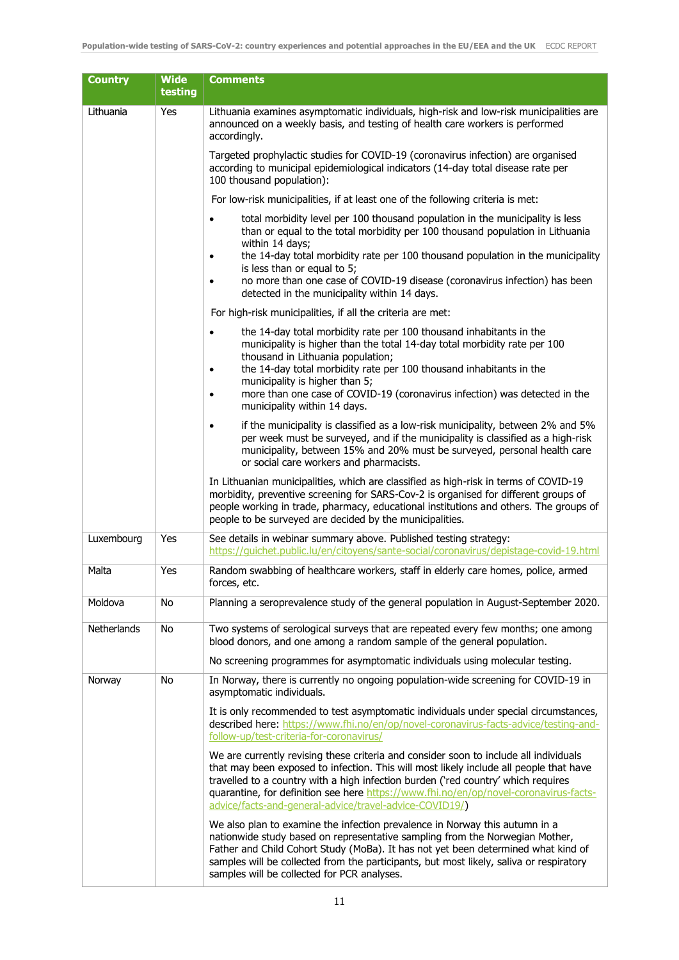| <b>Country</b> | <b>Wide</b><br>testing | <b>Comments</b>                                                                                                                                                                                                                                                                                                                                                                                                                                |
|----------------|------------------------|------------------------------------------------------------------------------------------------------------------------------------------------------------------------------------------------------------------------------------------------------------------------------------------------------------------------------------------------------------------------------------------------------------------------------------------------|
| Lithuania      | Yes                    | Lithuania examines asymptomatic individuals, high-risk and low-risk municipalities are<br>announced on a weekly basis, and testing of health care workers is performed<br>accordingly.                                                                                                                                                                                                                                                         |
|                |                        | Targeted prophylactic studies for COVID-19 (coronavirus infection) are organised<br>according to municipal epidemiological indicators (14-day total disease rate per<br>100 thousand population):                                                                                                                                                                                                                                              |
|                |                        | For low-risk municipalities, if at least one of the following criteria is met:                                                                                                                                                                                                                                                                                                                                                                 |
|                |                        | total morbidity level per 100 thousand population in the municipality is less<br>than or equal to the total morbidity per 100 thousand population in Lithuania<br>within 14 days;<br>the 14-day total morbidity rate per 100 thousand population in the municipality<br>is less than or equal to 5;<br>no more than one case of COVID-19 disease (coronavirus infection) has been<br>$\bullet$<br>detected in the municipality within 14 days. |
|                |                        | For high-risk municipalities, if all the criteria are met:                                                                                                                                                                                                                                                                                                                                                                                     |
|                |                        | the 14-day total morbidity rate per 100 thousand inhabitants in the<br>$\bullet$<br>municipality is higher than the total 14-day total morbidity rate per 100<br>thousand in Lithuania population;<br>the 14-day total morbidity rate per 100 thousand inhabitants in the                                                                                                                                                                      |
|                |                        | municipality is higher than 5;<br>more than one case of COVID-19 (coronavirus infection) was detected in the<br>$\bullet$<br>municipality within 14 days.                                                                                                                                                                                                                                                                                      |
|                |                        | if the municipality is classified as a low-risk municipality, between 2% and 5%<br>per week must be surveyed, and if the municipality is classified as a high-risk<br>municipality, between 15% and 20% must be surveyed, personal health care<br>or social care workers and pharmacists.                                                                                                                                                      |
|                |                        | In Lithuanian municipalities, which are classified as high-risk in terms of COVID-19<br>morbidity, preventive screening for SARS-Cov-2 is organised for different groups of<br>people working in trade, pharmacy, educational institutions and others. The groups of<br>people to be surveyed are decided by the municipalities.                                                                                                               |
| Luxembourg     | Yes                    | See details in webinar summary above. Published testing strategy:<br>https://quichet.public.lu/en/citoyens/sante-social/coronavirus/depistage-covid-19.html                                                                                                                                                                                                                                                                                    |
| Malta          | Yes                    | Random swabbing of healthcare workers, staff in elderly care homes, police, armed<br>forces, etc.                                                                                                                                                                                                                                                                                                                                              |
| Moldova        | No                     | Planning a seroprevalence study of the general population in August-September 2020.                                                                                                                                                                                                                                                                                                                                                            |
| Netherlands    | No                     | Two systems of serological surveys that are repeated every few months; one among<br>blood donors, and one among a random sample of the general population.                                                                                                                                                                                                                                                                                     |
|                |                        | No screening programmes for asymptomatic individuals using molecular testing.                                                                                                                                                                                                                                                                                                                                                                  |
| Norway         | No                     | In Norway, there is currently no ongoing population-wide screening for COVID-19 in<br>asymptomatic individuals.                                                                                                                                                                                                                                                                                                                                |
|                |                        | It is only recommended to test asymptomatic individuals under special circumstances,<br>described here: https://www.fhi.no/en/op/novel-coronavirus-facts-advice/testing-and-<br>follow-up/test-criteria-for-coronavirus/                                                                                                                                                                                                                       |
|                |                        | We are currently revising these criteria and consider soon to include all individuals<br>that may been exposed to infection. This will most likely include all people that have<br>travelled to a country with a high infection burden ('red country' which requires<br>quarantine, for definition see here https://www.fhi.no/en/op/novel-coronavirus-facts-<br>advice/facts-and-general-advice/travel-advice-COVID19()                       |
|                |                        | We also plan to examine the infection prevalence in Norway this autumn in a<br>nationwide study based on representative sampling from the Norwegian Mother,<br>Father and Child Cohort Study (MoBa). It has not yet been determined what kind of<br>samples will be collected from the participants, but most likely, saliva or respiratory<br>samples will be collected for PCR analyses.                                                     |